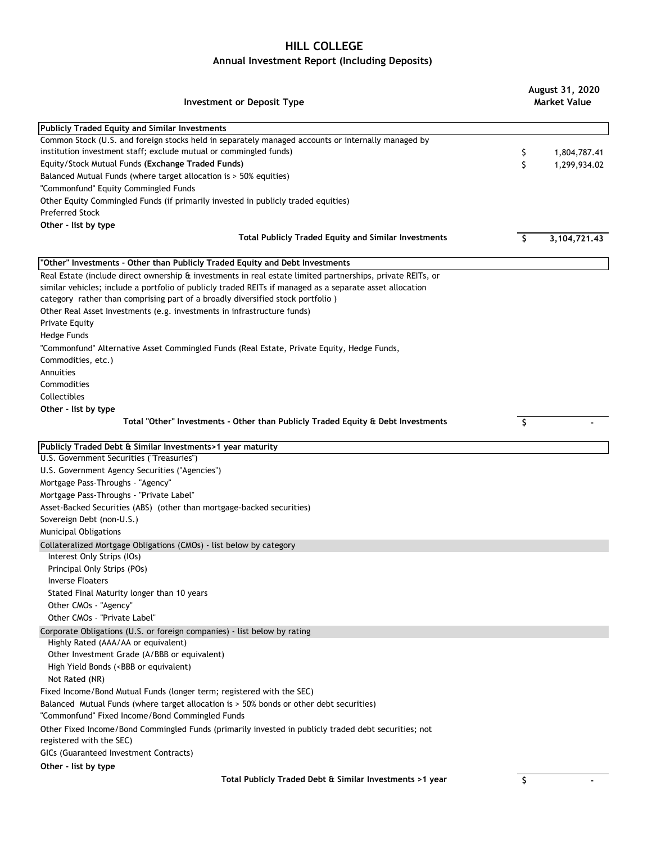## **HILL COLLEGE**

## **Annual Investment Report (Including Deposits)**

| Investment or Deposit Type                                                                                                                                                                                                                                                                                                                                                          |              | August 31, 2020<br><b>Market Value</b> |  |
|-------------------------------------------------------------------------------------------------------------------------------------------------------------------------------------------------------------------------------------------------------------------------------------------------------------------------------------------------------------------------------------|--------------|----------------------------------------|--|
| <b>Publicly Traded Equity and Similar Investments</b>                                                                                                                                                                                                                                                                                                                               |              |                                        |  |
| Common Stock (U.S. and foreign stocks held in separately managed accounts or internally managed by<br>institution investment staff; exclude mutual or commingled funds)                                                                                                                                                                                                             | \$           | 1,804,787.41                           |  |
| Equity/Stock Mutual Funds (Exchange Traded Funds)                                                                                                                                                                                                                                                                                                                                   | \$           | 1,299,934.02                           |  |
| Balanced Mutual Funds (where target allocation is > 50% equities)                                                                                                                                                                                                                                                                                                                   |              |                                        |  |
| "Commonfund" Equity Commingled Funds                                                                                                                                                                                                                                                                                                                                                |              |                                        |  |
| Other Equity Commingled Funds (if primarily invested in publicly traded equities)                                                                                                                                                                                                                                                                                                   |              |                                        |  |
| <b>Preferred Stock</b>                                                                                                                                                                                                                                                                                                                                                              |              |                                        |  |
| Other - list by type                                                                                                                                                                                                                                                                                                                                                                |              |                                        |  |
| <b>Total Publicly Traded Equity and Similar Investments</b>                                                                                                                                                                                                                                                                                                                         | \$           | 3, 104, 721. 43                        |  |
| "Other" Investments - Other than Publicly Traded Equity and Debt Investments                                                                                                                                                                                                                                                                                                        |              |                                        |  |
| Real Estate (include direct ownership & investments in real estate limited partnerships, private REITs, or<br>similar vehicles; include a portfolio of publicly traded REITs if managed as a separate asset allocation<br>category rather than comprising part of a broadly diversified stock portfolio)<br>Other Real Asset Investments (e.g. investments in infrastructure funds) |              |                                        |  |
| <b>Private Equity</b>                                                                                                                                                                                                                                                                                                                                                               |              |                                        |  |
| Hedge Funds                                                                                                                                                                                                                                                                                                                                                                         |              |                                        |  |
| "Commonfund" Alternative Asset Commingled Funds (Real Estate, Private Equity, Hedge Funds,<br>Commodities, etc.)                                                                                                                                                                                                                                                                    |              |                                        |  |
| Annuities                                                                                                                                                                                                                                                                                                                                                                           |              |                                        |  |
| Commodities                                                                                                                                                                                                                                                                                                                                                                         |              |                                        |  |
| Collectibles                                                                                                                                                                                                                                                                                                                                                                        |              |                                        |  |
| Other - list by type                                                                                                                                                                                                                                                                                                                                                                |              |                                        |  |
| Total "Other" Investments - Other than Publicly Traded Equity & Debt Investments                                                                                                                                                                                                                                                                                                    | $\mathsf{S}$ |                                        |  |
| Publicly Traded Debt & Similar Investments>1 year maturity                                                                                                                                                                                                                                                                                                                          |              |                                        |  |
| U.S. Government Securities ("Treasuries")                                                                                                                                                                                                                                                                                                                                           |              |                                        |  |
| U.S. Government Agency Securities ("Agencies")                                                                                                                                                                                                                                                                                                                                      |              |                                        |  |
| Mortgage Pass-Throughs - "Agency"                                                                                                                                                                                                                                                                                                                                                   |              |                                        |  |
| Mortgage Pass-Throughs - "Private Label"                                                                                                                                                                                                                                                                                                                                            |              |                                        |  |
| Asset-Backed Securities (ABS) (other than mortgage-backed securities)                                                                                                                                                                                                                                                                                                               |              |                                        |  |
| Sovereign Debt (non-U.S.)                                                                                                                                                                                                                                                                                                                                                           |              |                                        |  |
| <b>Municipal Obligations</b>                                                                                                                                                                                                                                                                                                                                                        |              |                                        |  |
| Collateralized Mortgage Obligations (CMOs) - list below by category                                                                                                                                                                                                                                                                                                                 |              |                                        |  |
| Interest Only Strips (IOs)                                                                                                                                                                                                                                                                                                                                                          |              |                                        |  |
| Principal Only Strips (POs)                                                                                                                                                                                                                                                                                                                                                         |              |                                        |  |
| <b>Inverse Floaters</b>                                                                                                                                                                                                                                                                                                                                                             |              |                                        |  |
| Stated Final Maturity longer than 10 years                                                                                                                                                                                                                                                                                                                                          |              |                                        |  |
| Other CMOs - "Agency"                                                                                                                                                                                                                                                                                                                                                               |              |                                        |  |
| Other CMOs - "Private Label"                                                                                                                                                                                                                                                                                                                                                        |              |                                        |  |
| Corporate Obligations (U.S. or foreign companies) - list below by rating<br>Highly Rated (AAA/AA or equivalent)                                                                                                                                                                                                                                                                     |              |                                        |  |
| Other Investment Grade (A/BBB or equivalent)                                                                                                                                                                                                                                                                                                                                        |              |                                        |  |
| High Yield Bonds ( <bbb equivalent)<="" or="" td=""><td></td><td></td></bbb>                                                                                                                                                                                                                                                                                                        |              |                                        |  |
| Not Rated (NR)                                                                                                                                                                                                                                                                                                                                                                      |              |                                        |  |
| Fixed Income/Bond Mutual Funds (longer term; registered with the SEC)<br>Balanced Mutual Funds (where target allocation is > 50% bonds or other debt securities)                                                                                                                                                                                                                    |              |                                        |  |
| "Commonfund" Fixed Income/Bond Commingled Funds                                                                                                                                                                                                                                                                                                                                     |              |                                        |  |
| Other Fixed Income/Bond Commingled Funds (primarily invested in publicly traded debt securities; not<br>registered with the SEC)                                                                                                                                                                                                                                                    |              |                                        |  |
| GICs (Guaranteed Investment Contracts)                                                                                                                                                                                                                                                                                                                                              |              |                                        |  |
| Other - list by type                                                                                                                                                                                                                                                                                                                                                                |              |                                        |  |